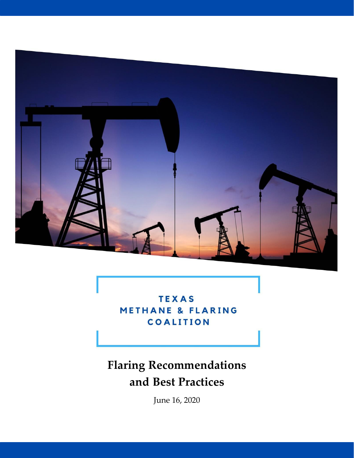

**TEXAS METHANE & FLARING** COALITION

# **Flaring Recommendations and Best Practices**

June 16, 2020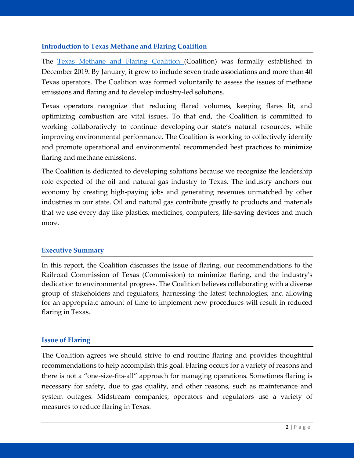# **Introduction to Texas Methane and Flaring Coalition**

The Texas Methane and Flaring [Coalition](http://www.texasmethaneflaringcoalition.org/) (Coalition) was formally established in December 2019. By January, it grew to include seven trade associations and more than 40 Texas operators. The Coalition was formed voluntarily to assess the issues of methane emissions and flaring and to develop industry-led solutions.

Texas operators recognize that reducing flared volumes, keeping flares lit, and optimizing combustion are vital issues. To that end, the Coalition is committed to working collaboratively to continue developing our state's natural resources, while improving environmental performance. The Coalition is working to collectively identify and promote operational and environmental recommended best practices to minimize flaring and methane emissions.

The Coalition is dedicated to developing solutions because we recognize the leadership role expected of the oil and natural gas industry to Texas. The industry anchors our economy by creating high-paying jobs and generating revenues unmatched by other industries in our state. Oil and natural gas contribute greatly to products and materials that we use every day like plastics, medicines, computers, life-saving devices and much more.

#### **Executive Summary**

In this report, the Coalition discusses the issue of flaring, our recommendations to the Railroad Commission of Texas (Commission) to minimize flaring, and the industry's dedication to environmental progress. The Coalition believes collaborating with a diverse group of stakeholders and regulators, harnessing the latest technologies, and allowing for an appropriate amount of time to implement new procedures will result in reduced flaring in Texas.

#### **Issue of Flaring**

The Coalition agrees we should strive to end routine flaring and provides thoughtful recommendations to help accomplish this goal. Flaring occurs for a variety of reasons and there is not a "one-size-fits-all" approach for managing operations. Sometimes flaring is necessary for safety, due to gas quality, and other reasons, such as maintenance and system outages. Midstream companies, operators and regulators use a variety of measures to reduce flaring in Texas.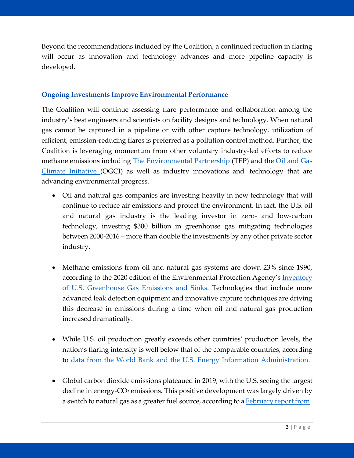Beyond the recommendations included by the Coalition, a continued reduction in flaring will occur as innovation and technology advances and more pipeline capacity is developed.

## **Ongoing Investments Improve Environmental Performance**

The Coalition will continue assessing flare performance and collaboration among the industry's best engineers and scientists on facility designs and technology. When natural gas cannot be captured in a pipeline or with other capture technology, utilization of efficient, emission-reducing flares is preferred as a pollution control method. Further, the Coalition is leveraging momentum from other voluntary industry-led efforts to reduce methane emissions including The [Environmental](https://theenvironmentalpartnership.org/) Partnership (TEP) [and](https://oilandgasclimateinitiative.com/) the Oil and Gas Climate [Initiative](https://oilandgasclimateinitiative.com/) (OGCI) as well as industry innovations and technology that are advancing environmental progress.

- Oil and natural gas companies are investing heavily in new technology that will continue to reduce air emissions and protect the environment. In fact, the U.S. oil and natural gas industry is the leading investor in zero- and low-carbon technology, investing \$300 billion in greenhouse gas mitigating technologies between 2000-2016 – more than double the investments by any other private sector industry.
- Methane emissions from oil and natural gas systems are down 23% since 1990, according to the 2020 edition of the Environmental Protection Agency's **[Inventory](https://www.epa.gov/sites/production/files/2020-04/documents/us-ghg-inventory-2020-main-text.pdf)** of U.S. [Greenhouse](https://www.epa.gov/sites/production/files/2020-04/documents/us-ghg-inventory-2020-main-text.pdf) Gas Emissions and Sinks. Technologies that include more advanced leak detection equipment and innovative capture techniques are driving this decrease in emissions during a time when oil and natural gas production increased dramatically.
- While U.S. oil production greatly exceeds other countries' production levels, the nation's flaring intensity is well below that of the comparable countries, according to data from the World Bank and the U.S. Energy Information [Administration.](https://www.energyindepth.org/wp-content/uploads/2019/07/Flaring101.pdf)
- Global carbon dioxide emissions plateaued in 2019, with the U.S. seeing the largest decline in energy-CO<sub>2</sub> emissions. This positive development was largely driven by a switch to natural gas as a greater fuel source, according to a **[February](https://www.iea.org/articles/global-co2-emissions-in-2019) report from**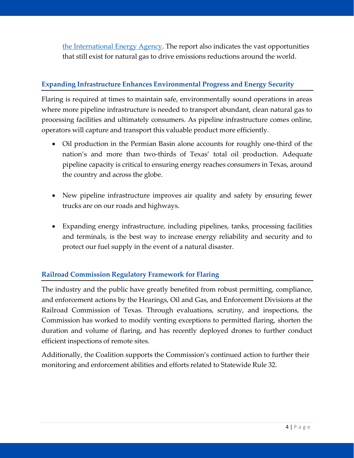[the International](https://www.iea.org/articles/global-co2-emissions-in-2019) Energy Agency. The report also indicates the vast opportunities that still exist for natural gas to drive emissions reductions around the world.

# **Expanding Infrastructure Enhances Environmental Progress and Energy Security**

Flaring is required at times to maintain safe, environmentally sound operations in areas where more pipeline infrastructure is needed to transport abundant, clean natural gas to processing facilities and ultimately consumers. As pipeline infrastructure comes online, operators will capture and transport this valuable product more efficiently.

- Oil production in the Permian Basin alone accounts for roughly one-third of the nation's and more than two-thirds of Texas' total oil production. Adequate pipeline capacity is critical to ensuring energy reaches consumers in Texas, around the country and across the globe.
- New pipeline infrastructure improves air quality and safety by ensuring fewer trucks are on our roads and highways.
- Expanding energy infrastructure, including pipelines, tanks, processing facilities and terminals, is the best way to increase energy reliability and security and to protect our fuel supply in the event of a natural disaster.

# **Railroad Commission Regulatory Framework for Flaring**

The industry and the public have greatly benefited from robust permitting, compliance, and enforcement actions by the Hearings, Oil and Gas, and Enforcement Divisions at the Railroad Commission of Texas. Through evaluations, scrutiny, and inspections, the Commission has worked to modify venting exceptions to permitted flaring, shorten the duration and volume of flaring, and has recently deployed drones to further conduct efficient inspections of remote sites.

Additionally, the Coalition supports the Commission's continued action to further their monitoring and enforcement abilities and efforts related to Statewide Rule 32.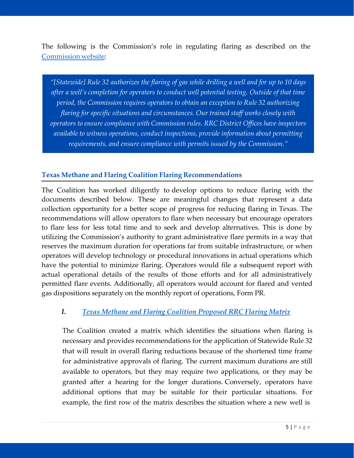The following is the Commission's role in regulating flaring as described on the [Commission](https://www.rrc.texas.gov/about-us/resource-center/faqs/oil-gas-faqs/faq-flaring-regulation/) website:

*"[Statewide] Rule 32 authorizes the flaring of gas while drilling a well and for up to 10 days after a well's completion for operators to conduct well potential testing. Outside of that time period, the Commission requires operators to obtain an exception to Rule 32 authorizing flaring for specific situations and circumstances. Our trained staff works closely with operators to ensure compliance with Commission rules. RRC District Offices have inspectors available to witness operations, conduct inspections, provide information about permitting requirements, and ensure compliance with permits issued by the Commission."*

### **Texas Methane and Flaring Coalition Flaring Recommendations**

The Coalition has worked diligently to develop options to reduce flaring with the documents described below. These are meaningful changes that represent a data collection opportunity for a better scope of progress for reducing flaring in Texas. The recommendations will allow operators to flare when necessary but encourage operators to flare less for less total time and to seek and develop alternatives. This is done by utilizing the Commission's authority to grant administrative flare permits in a way that reserves the maximum duration for operations far from suitable infrastructure, or when operators will develop technology or procedural innovations in actual operations which have the potential to minimize flaring. Operators would file a subsequent report with actual operational details of the results of those efforts and for all administratively permitted flare events. Additionally, all operators would account for flared and vented gas dispositions separately on the monthly report of operations, Form PR.

#### *I. Texas Methane and Flaring [Coalition](http://docs.txoga.org/files/1966-tmfc-proposed-rrc-flaring-matrix.pdf) Proposed RRC Flaring Matrix*

The Coalition created a matrix which identifies the situations when flaring is necessary and provides recommendations for the application of Statewide Rule 32 that will result in overall flaring reductions because of the shortened time frame for administrative approvals of flaring. The current maximum durations are still available to operators, but they may require two applications, or they may be granted after a hearing for the longer durations. Conversely, operators have additional options that may be suitable for their particular situations. For example, the first row of the matrix describes the situation where a new well is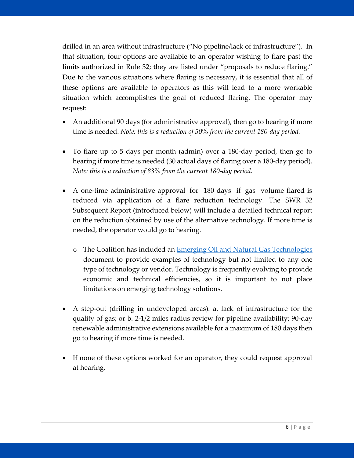drilled in an area without infrastructure ("No pipeline/lack of infrastructure"). In that situation, four options are available to an operator wishing to flare past the limits authorized in Rule 32; they are listed under "proposals to reduce flaring." Due to the various situations where flaring is necessary, it is essential that all of these options are available to operators as this will lead to a more workable situation which accomplishes the goal of reduced flaring. The operator may request:

- An additional 90 days (for administrative approval), then go to hearing if more time is needed. *Note: this is a reduction of 50% from the current 180-day period.*
- To flare up to 5 days per month (admin) over a 180-day period, then go to hearing if more time is needed (30 actual days of flaring over a 180-day period). *Note: this is a reduction of 83% from the current 180-day period.*
- A one-time administrative approval for 180 days if gas volume flared is reduced via application of a flare reduction technology. The SWR 32 Subsequent Report (introduced below) will include a detailed technical report on the reduction obtained by use of the alternative technology. If more time is needed, the operator would go to hearing.
	- o The Coalition has included an Emerging Oil and Natural Gas [Technologies](http://docs.txoga.org/files/1965-emerging-oil-natural-gas-technologies-.pdf) document to provide examples of technology but not limited to any one type of technology or vendor. Technology is frequently evolving to provide economic and technical efficiencies, so it is important to not place limitations on emerging technology solutions.
- A step-out (drilling in undeveloped areas): a. lack of infrastructure for the quality of gas; or b. 2-1/2 miles radius review for pipeline availability; 90-day renewable administrative extensions available for a maximum of 180 days then go to hearing if more time is needed.
- If none of these options worked for an operator, they could request approval at hearing.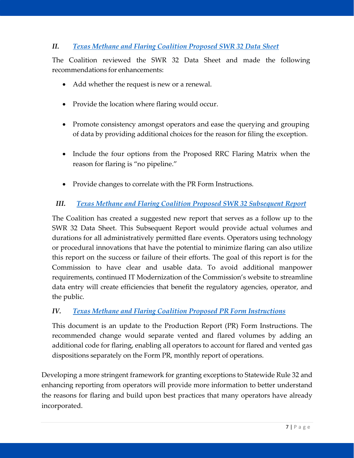# *II. Texas Methane and [Flaring Coalition Proposed](http://docs.txoga.org/files/1942-tmfc-proposed-revisions-swr32-datasheet-final-update-1.pdf) SWR 32 Data Sheet*

The Coalition reviewed the SWR 32 Data Sheet and made the following recommendations for enhancements:

- Add whether the request is new or a renewal.
- Provide the location where flaring would occur.
- Promote consistency amongst operators and ease the querying and grouping of data by providing additional choices for the reason for filing the exception.
- Include the four options from the Proposed RRC Flaring Matrix when the reason for flaring is "no pipeline."
- Provide changes to correlate with the PR Form Instructions.

# *III. Texas Methane and [Flaring Coalition](http://docs.txoga.org/files/1943-tmfc-proposed-swr32-permit-subsequent-report-final-update-1.pdf) Proposed SWR 32 Subsequent Report*

The Coalition has created a suggested new report that serves as a follow up to the SWR 32 Data Sheet. This Subsequent Report would provide actual volumes and durations for all administratively permitted flare events. Operators using technology or procedural innovations that have the potential to minimize flaring can also utilize this report on the success or failure of their efforts. The goal of this report is for the Commission to have clear and usable data. To avoid additional manpower requirements, continued IT Modernization of the Commission's website to streamline data entry will create efficiencies that benefit the regulatory agencies, operator, and the public.

#### *IV. Texas Methane and [Flaring Coalition](http://docs.txoga.org/files/1968-tmfc-proposed-pr-instructions-add-flare-code-final.pdf) Proposed PR Form Instructions*

This document is an update to the Production Report (PR) Form Instructions. The recommended change would separate vented and flared volumes by adding an additional code for flaring, enabling all operators to account for flared and vented gas dispositions separately on the Form PR, monthly report of operations.

Developing a more stringent framework for granting exceptions to Statewide Rule 32 and enhancing reporting from operators will provide more information to better understand the reasons for flaring and build upon best practices that many operators have already incorporated.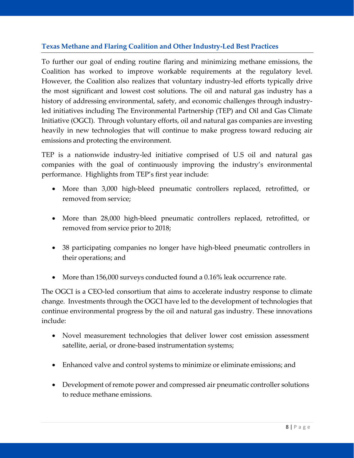# **Texas Methane and Flaring Coalition and Other Industry-Led Best Practices**

To further our goal of ending routine flaring and minimizing methane emissions, the Coalition has worked to improve workable requirements at the regulatory level. However, the Coalition also realizes that voluntary industry-led efforts typically drive the most significant and lowest cost solutions. The oil and natural gas industry has a history of addressing environmental, safety, and economic challenges through industryled initiatives including The Environmental Partnership (TEP) and Oil and Gas Climate Initiative (OGCI). Through voluntary efforts, oil and natural gas companies are investing heavily in new technologies that will continue to make progress toward reducing air emissions and protecting the environment.

TEP is a nationwide industry-led initiative comprised of U.S oil and natural gas companies with the goal of continuously improving the industry's environmental performance. Highlights from TEP's first year include:

- More than 3,000 high-bleed pneumatic controllers replaced, retrofitted, or removed from service;
- More than 28,000 high-bleed pneumatic controllers replaced, retrofitted, or removed from service prior to 2018;
- 38 participating companies no longer have high-bleed pneumatic controllers in their operations; and
- More than 156,000 surveys conducted found a 0.16% leak occurrence rate.

The OGCI is a CEO-led consortium that aims to accelerate industry response to climate change. Investments through the OGCI have led to the development of technologies that continue environmental progress by the oil and natural gas industry. These innovations include:

- Novel measurement technologies that deliver lower cost emission assessment satellite, aerial, or drone-based instrumentation systems;
- Enhanced valve and control systems to minimize or eliminate emissions; and
- Development of remote power and compressed air pneumatic controller solutions to reduce methane emissions.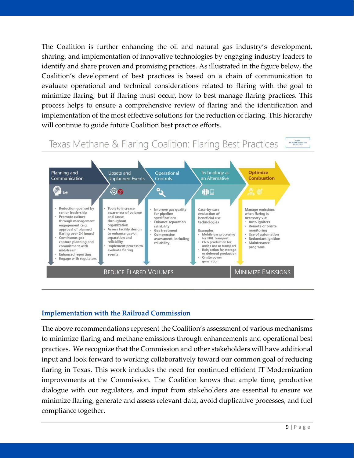The Coalition is further enhancing the oil and natural gas industry's development, sharing, and implementation of innovative technologies by engaging industry leaders to identify and share proven and promising practices. As illustrated in the figure below, the Coalition's development of best practices is based on a chain of communication to evaluate operational and technical considerations related to flaring with the goal to minimize flaring, but if flaring must occur, how to best manage flaring practices. This process helps to ensure a comprehensive review of flaring and the identification and implementation of the most effective solutions for the reduction of flaring. This hierarchy will continue to guide future Coalition best practice efforts.

#### TEXAS<br>HETHANE & FLARING<br>COALITION Texas Methane & Flaring Coalition: Flaring Best Practices



#### **Implementation with the Railroad Commission**

The above recommendations represent the Coalition's assessment of various mechanisms to minimize flaring and methane emissions through enhancements and operational best practices. We recognize that the Commission and other stakeholders will have additional input and look forward to working collaboratively toward our common goal of reducing flaring in Texas. This work includes the need for continued efficient IT Modernization improvements at the Commission. The Coalition knows that ample time, productive dialogue with our regulators, and input from stakeholders are essential to ensure we minimize flaring, generate and assess relevant data, avoid duplicative processes, and fuel compliance together.